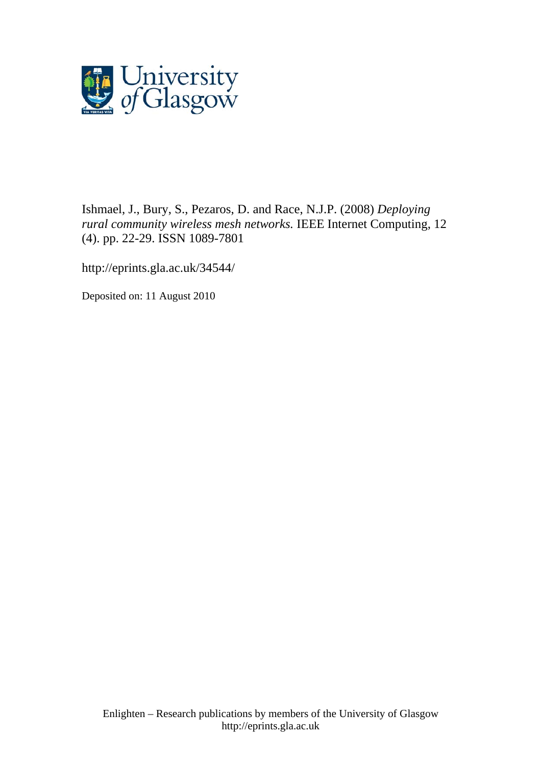

Ishmael, J., Bury, S., [Pezaros, D.](http://eprints.gla.ac.uk/view/author/5079.html) and Race, N.J.P. (2008) *Deploying rural community wireless mesh networks.* [IEEE Internet Computing](http://eprints.gla.ac.uk/view/journal_volume/IEEE_Internet_Computing.html), 12 (4). pp. 22-29. ISSN 1089-7801

http://eprints.gla.ac.uk/34544/

Deposited on: 11 August 2010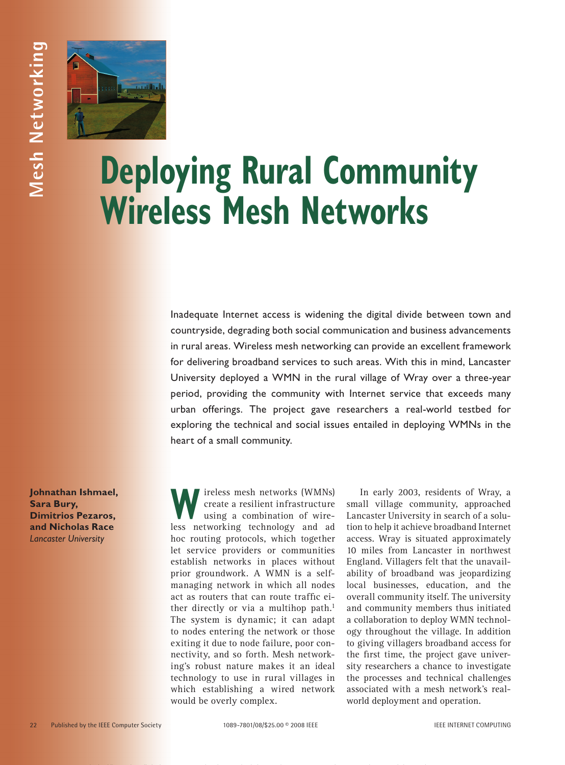

# **Deploying Rural Community Wireless Mesh Networks**

Inadequate Internet access is widening the digital divide between town and countryside, degrading both social communication and business advancements in rural areas. Wireless mesh networking can provide an excellent framework for delivering broadband services to such areas. With this in mind, Lancaster University deployed a WMN in the rural village of Wray over a three-year period, providing the community with Internet service that exceeds many urban offerings. The project gave researchers a real-world testbed for exploring the technical and social issues entailed in deploying WMNs in the heart of a small community.

**Johnathan Ishmael, Sara Bury, Dimitrios Pezaros, and Nicholas Race** *Lancaster University*

**W**ireless mesh networks (WMNs)<br>create a resilient infrastructure<br>using a combination of wirecreate a resilient infrastructure using a combination of wireless networking technology and ad hoc routing protocols, which together let service providers or communities establish networks in places without prior groundwork. A WMN is a selfmanaging network in which all nodes act as routers that can route traffic either directly or via a multihop path.<sup>1</sup> The system is dynamic; it can adapt to nodes entering the network or those exiting it due to node failure, poor connectivity, and so forth. Mesh networking's robust nature makes it an ideal technology to use in rural villages in which establishing a wired network would be overly complex.

In early 2003, residents of Wray, a small village community, approached Lancaster University in search of a solution to help it achieve broadband Internet access. Wray is situated approximately 10 miles from Lancaster in northwest England. Villagers felt that the unavailability of broadband was jeopardizing local businesses, education, and the overall community itself. The university and community members thus initiated a collaboration to deploy WMN technology throughout the village. In addition to giving villagers broadband access for the first time, the project gave university researchers a chance to investigate the processes and technical challenges associated with a mesh network's realworld deployment and operation.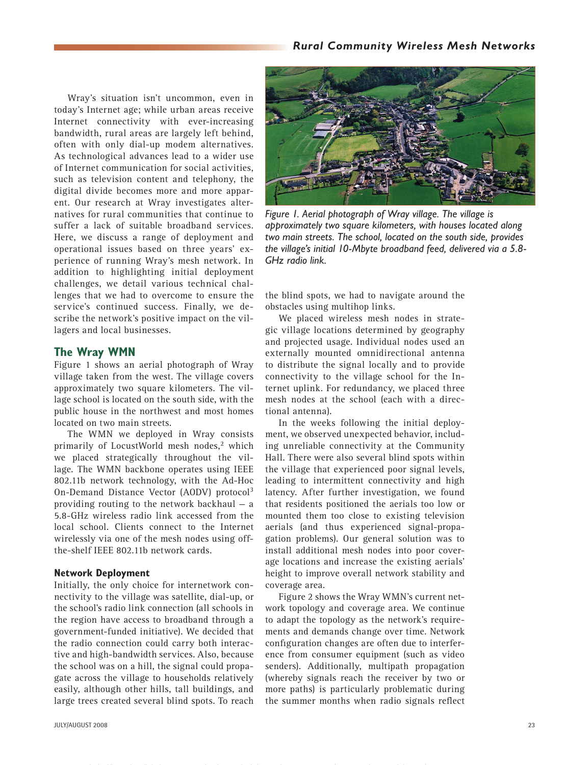## *Rural Community Wireless Mesh Networks*

Wray's situation isn't uncommon, even in today's Internet age; while urban areas receive Internet connectivity with ever-increasing bandwidth, rural areas are largely left behind, often with only dial-up modem alternatives. As technological advances lead to a wider use of Internet communication for social activities, such as television content and telephony, the digital divide becomes more and more apparent. Our research at Wray investigates alternatives for rural communities that continue to suffer a lack of suitable broadband services. Here, we discuss a range of deployment and operational issues based on three years' experience of running Wray's mesh network. In addition to highlighting initial deployment challenges, we detail various technical challenges that we had to overcome to ensure the service's continued success. Finally, we describe the network's positive impact on the villagers and local businesses.

## **The Wray WMN**

Figure 1 shows an aerial photograph of Wray village taken from the west. The village covers approximately two square kilometers. The village school is located on the south side, with the public house in the northwest and most homes located on two main streets.

The WMN we deployed in Wray consists primarily of LocustWorld mesh nodes,<sup>2</sup> which we placed strategically throughout the village. The WMN backbone operates using IEEE 802.11b network technology, with the Ad-Hoc On-Demand Distance Vector (AODV) protocol<sup>3</sup> providing routing to the network backhaul — a 5.8-GHz wireless radio link accessed from the local school. Clients connect to the Internet wirelessly via one of the mesh nodes using offthe-shelf IEEE 802.11b network cards.

#### **Network Deployment**

Initially, the only choice for internetwork connectivity to the village was satellite, dial-up, or the school's radio link connection (all schools in the region have access to broadband through a government-funded initiative). We decided that the radio connection could carry both interactive and high-bandwidth services. Also, because the school was on a hill, the signal could propagate across the village to households relatively easily, although other hills, tall buildings, and large trees created several blind spots. To reach



*Figure 1. Aerial photograph of Wray village. The village is approximately two square kilometers, with houses located along two main streets. The school, located on the south side, provides the village's initial 10-Mbyte broadband feed, delivered via a 5.8- GHz radio link.* 

the blind spots, we had to navigate around the obstacles using multihop links.

We placed wireless mesh nodes in strategic village locations determined by geography and projected usage. Individual nodes used an externally mounted omnidirectional antenna to distribute the signal locally and to provide connectivity to the village school for the Internet uplink. For redundancy, we placed three mesh nodes at the school (each with a directional antenna).

In the weeks following the initial deployment, we observed unexpected behavior, including unreliable connectivity at the Community Hall. There were also several blind spots within the village that experienced poor signal levels, leading to intermittent connectivity and high latency. After further investigation, we found that residents positioned the aerials too low or mounted them too close to existing television aerials (and thus experienced signal-propagation problems). Our general solution was to install additional mesh nodes into poor coverage locations and increase the existing aerials' height to improve overall network stability and coverage area.

Figure 2 shows the Wray WMN's current network topology and coverage area. We continue to adapt the topology as the network's requirements and demands change over time. Network configuration changes are often due to interference from consumer equipment (such as video senders). Additionally, multipath propagation (whereby signals reach the receiver by two or more paths) is particularly problematic during the summer months when radio signals reflect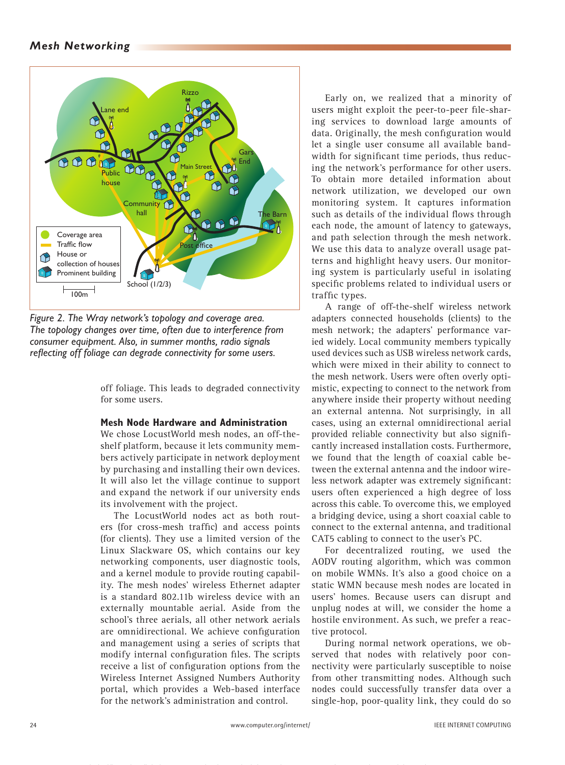## *Mesh Networking*



*Figure 2. The Wray network's topology and coverage area. The topology changes over time, often due to interference from consumer equipment. Also, in summer months, radio signals reflecting off foliage can degrade connectivity for some users.*

off foliage. This leads to degraded connectivity for some users.

## **Mesh Node Hardware and Administration**

We chose LocustWorld mesh nodes, an off-theshelf platform, because it lets community members actively participate in network deployment by purchasing and installing their own devices. It will also let the village continue to support and expand the network if our university ends its involvement with the project.

The LocustWorld nodes act as both routers (for cross-mesh traffic) and access points (for clients). They use a limited version of the Linux Slackware OS, which contains our key networking components, user diagnostic tools, and a kernel module to provide routing capability. The mesh nodes' wireless Ethernet adapter is a standard 802.11b wireless device with an externally mountable aerial. Aside from the school's three aerials, all other network aerials are omnidirectional. We achieve configuration and management using a series of scripts that modify internal configuration files. The scripts receive a list of configuration options from the Wireless Internet Assigned Numbers Authority portal, which provides a Web-based interface for the network's administration and control.

Early on, we realized that a minority of users might exploit the peer-to-peer file-sharing services to download large amounts of data. Originally, the mesh configuration would let a single user consume all available bandwidth for significant time periods, thus reducing the network's performance for other users. To obtain more detailed information about network utilization, we developed our own monitoring system. It captures information such as details of the individual flows through each node, the amount of latency to gateways, and path selection through the mesh network. We use this data to analyze overall usage patterns and highlight heavy users. Our monitoring system is particularly useful in isolating specific problems related to individual users or traffic types.

A range of off-the-shelf wireless network adapters connected households (clients) to the mesh network; the adapters' performance varied widely. Local community members typically used devices such as USB wireless network cards, which were mixed in their ability to connect to the mesh network. Users were often overly optimistic, expecting to connect to the network from anywhere inside their property without needing an external antenna. Not surprisingly, in all cases, using an external omnidirectional aerial provided reliable connectivity but also significantly increased installation costs. Furthermore, we found that the length of coaxial cable between the external antenna and the indoor wireless network adapter was extremely significant: users often experienced a high degree of loss across this cable. To overcome this, we employed a bridging device, using a short coaxial cable to connect to the external antenna, and traditional CAT5 cabling to connect to the user's PC.

For decentralized routing, we used the AODV routing algorithm, which was common on mobile WMNs. It's also a good choice on a static WMN because mesh nodes are located in users' homes. Because users can disrupt and unplug nodes at will, we consider the home a hostile environment. As such, we prefer a reactive protocol.

During normal network operations, we observed that nodes with relatively poor connectivity were particularly susceptible to noise from other transmitting nodes. Although such nodes could successfully transfer data over a single-hop, poor-quality link, they could do so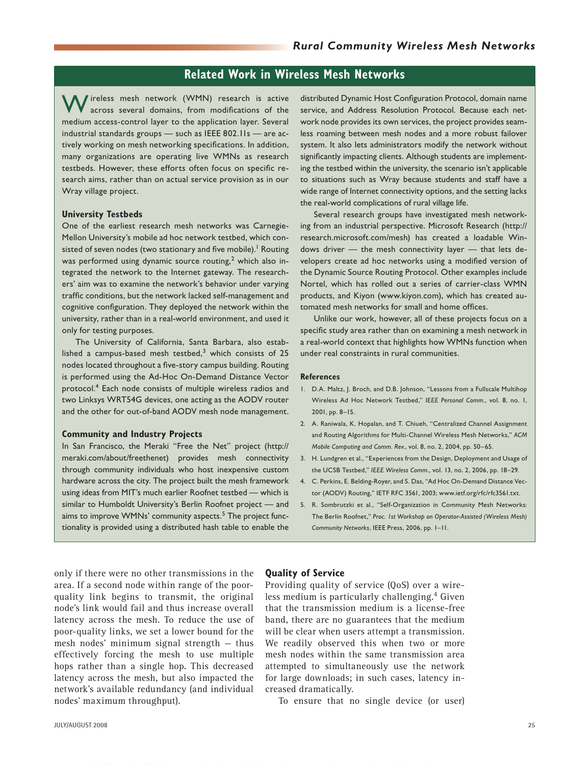## **Related Work in Wireless Mesh Networks**

Wireless mesh network (WMN) research is active across several domains, from modifications of the medium access-control layer to the application layer. Several industrial standards groups — such as IEEE 802.11s — are actively working on mesh networking specifications. In addition, many organizations are operating live WMNs as research testbeds. However, these efforts often focus on specific research aims, rather than on actual service provision as in our Wray village project.

#### **University Testbeds**

One of the earliest research mesh networks was Carnegie-Mellon University's mobile ad hoc network testbed, which consisted of seven nodes (two stationary and five mobile).<sup>1</sup> Routing was performed using dynamic source routing,<sup>2</sup> which also integrated the network to the Internet gateway. The researchers' aim was to examine the network's behavior under varying traffic conditions, but the network lacked self-management and cognitive configuration. They deployed the network within the university, rather than in a real-world environment, and used it only for testing purposes.

The University of California, Santa Barbara, also established a campus-based mesh testbed, $3$  which consists of 25 nodes located throughout a five-story campus building. Routing is performed using the Ad-Hoc On-Demand Distance Vector protocol.4 Each node consists of multiple wireless radios and two Linksys WRT54G devices, one acting as the AODV router and the other for out-of-band AODV mesh node management.

#### **Community and Industry Projects**

In San Francisco, the Meraki "Free the Net" project (http:// meraki.com/about/freethenet) provides mesh connectivity through community individuals who host inexpensive custom hardware across the city. The project built the mesh framework using ideas from MIT's much earlier Roofnet testbed — which is similar to Humboldt University's Berlin Roofnet project — and aims to improve WMNs' community aspects.<sup>5</sup> The project functionality is provided using a distributed hash table to enable the

distributed Dynamic Host Configuration Protocol, domain name service, and Address Resolution Protocol. Because each network node provides its own services, the project provides seamless roaming between mesh nodes and a more robust failover system. It also lets administrators modify the network without significantly impacting clients. Although students are implementing the testbed within the university, the scenario isn't applicable to situations such as Wray because students and staff have a wide range of Internet connectivity options, and the setting lacks the real-world complications of rural village life.

Several research groups have investigated mesh networking from an industrial perspective. Microsoft Research (http:// research.microsoft.com/mesh) has created a loadable Windows driver — the mesh connectivity layer — that lets developers create ad hoc networks using a modified version of the Dynamic Source Routing Protocol. Other examples include Nortel, which has rolled out a series of carrier-class WMN products, and Kiyon (www.kiyon.com), which has created automated mesh networks for small and home offices.

Unlike our work, however, all of these projects focus on a specific study area rather than on examining a mesh network in a real-world context that highlights how WMNs function when under real constraints in rural communities.

#### **References**

- D.A. Maltz, J. Broch, and D.B. Johnson, "Lessons from a Fullscale Multihop 1. Wireless Ad Hoc Network Testbed," *IEEE Personal Comm.*, vol. 8, no. 1, 2001, pp. 8–15.
- A. Raniwala, K. Hopalan, and T. Chiueh, "Centralized Channel Assignment 2. and Routing Algorithms for Multi-Channel Wireless Mesh Networks," *ACM Mobile Computing and Comm. Rev.*, vol. 8, no. 2, 2004, pp. 50–65.
- H. Lundgren et al., "Experiences from the Design, Deployment and Usage of 3. the UCSB Testbed," *IEEE Wireless Comm.*, vol. 13, no. 2, 2006, pp. 18–29.
- C. Perkins, E. Belding-Royer, and S. Das, "Ad Hoc On-Demand Distance Vec-4. tor (AODV) Routing," IETF RFC 3561, 2003; www.ietf.org/rfc/rfc3561.txt.
- R. Sombrutzki et al., "Self-Organization in Community Mesh Networks: The Berlin Roofnet," *Proc. 1st Workshop on Operator-Assisted (Wireless Mesh) Community Networks*, IEEE Press, 2006, pp. 1–11. 5.

only if there were no other transmissions in the area. If a second node within range of the poorquality link begins to transmit, the original node's link would fail and thus increase overall latency across the mesh. To reduce the use of poor-quality links, we set a lower bound for the mesh nodes' minimum signal strength — thus effectively forcing the mesh to use multiple hops rather than a single hop. This decreased latency across the mesh, but also impacted the network's available redundancy (and individual nodes' maximum throughput).

#### **Quality of Service**

Providing quality of service (QoS) over a wireless medium is particularly challenging.4 Given that the transmission medium is a license-free band, there are no guarantees that the medium will be clear when users attempt a transmission. We readily observed this when two or more mesh nodes within the same transmission area attempted to simultaneously use the network for large downloads; in such cases, latency increased dramatically.

To ensure that no single device (or user)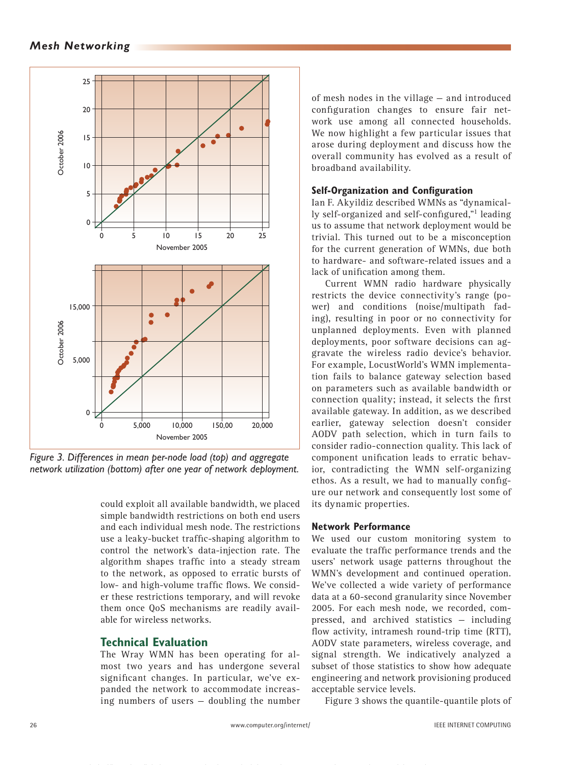

*Figure 3. Differences in mean per-node load (top) and aggregate network utilization (bottom) after one year of network deployment.*

could exploit all available bandwidth, we placed simple bandwidth restrictions on both end users and each individual mesh node. The restrictions use a leaky-bucket traffic-shaping algorithm to control the network's data-injection rate. The algorithm shapes traffic into a steady stream to the network, as opposed to erratic bursts of low- and high-volume traffic flows. We consider these restrictions temporary, and will revoke them once QoS mechanisms are readily available for wireless networks.

## **Technical Evaluation**

The Wray WMN has been operating for almost two years and has undergone several significant changes. In particular, we've expanded the network to accommodate increasing numbers of users — doubling the number of mesh nodes in the village — and introduced configuration changes to ensure fair network use among all connected households. We now highlight a few particular issues that arose during deployment and discuss how the overall community has evolved as a result of broadband availability.

## **Self-Organization and Configuration**

Ian F. Akyildiz described WMNs as "dynamically self-organized and self-configured,"1 leading us to assume that network deployment would be trivial. This turned out to be a misconception for the current generation of WMNs, due both to hardware- and software-related issues and a lack of unification among them.

Current WMN radio hardware physically restricts the device connectivity's range (power) and conditions (noise/multipath fading), resulting in poor or no connectivity for unplanned deployments. Even with planned deployments, poor software decisions can aggravate the wireless radio device's behavior. For example, LocustWorld's WMN implementation fails to balance gateway selection based on parameters such as available bandwidth or connection quality; instead, it selects the first available gateway. In addition, as we described earlier, gateway selection doesn't consider AODV path selection, which in turn fails to consider radio-connection quality. This lack of component unification leads to erratic behavior, contradicting the WMN self-organizing ethos. As a result, we had to manually configure our network and consequently lost some of its dynamic properties.

## **Network Performance**

We used our custom monitoring system to evaluate the traffic performance trends and the users' network usage patterns throughout the WMN's development and continued operation. We've collected a wide variety of performance data at a 60-second granularity since November 2005. For each mesh node, we recorded, compressed, and archived statistics — including flow activity, intramesh round-trip time (RTT), AODV state parameters, wireless coverage, and signal strength. We indicatively analyzed a subset of those statistics to show how adequate engineering and network provisioning produced acceptable service levels.

Figure 3 shows the quantile-quantile plots of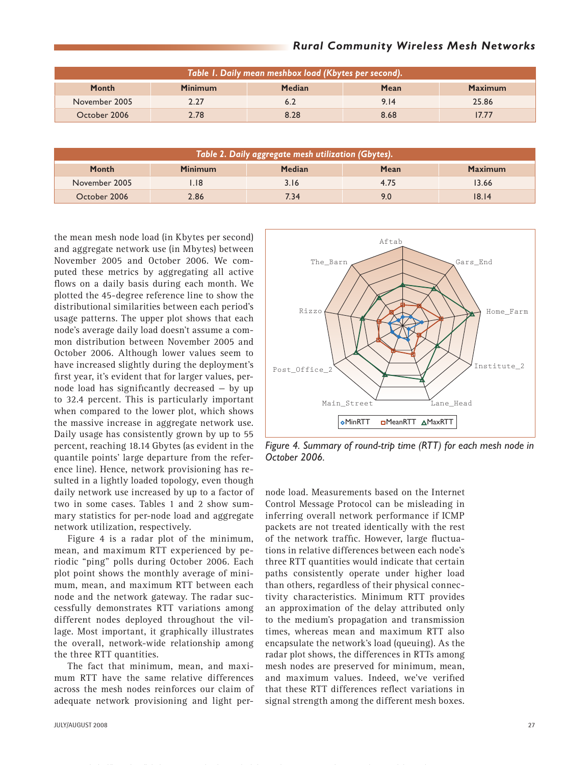| Table 1. Daily mean meshbox load (Kbytes per second). |                |               |      |                |  |  |
|-------------------------------------------------------|----------------|---------------|------|----------------|--|--|
| <b>Month</b>                                          | <b>Minimum</b> | <b>Median</b> | Mean | <b>Maximum</b> |  |  |
| November 2005                                         | 2.27           | 6.2           | 9.14 | 25.86          |  |  |
| October 2006                                          | 2.78           | 8.28          | 8.68 | 17.77          |  |  |

| Table 2. Daily aggregate mesh utilization (Gbytes). |                |               |      |                |  |  |
|-----------------------------------------------------|----------------|---------------|------|----------------|--|--|
| <b>Month</b>                                        | <b>Minimum</b> | <b>Median</b> | Mean | <b>Maximum</b> |  |  |
| November 2005                                       | 18.            | 3.16          | 4.75 | 13.66          |  |  |
| October 2006                                        | 2.86           | 7.34          |      | 18.14          |  |  |

the mean mesh node load (in Kbytes per second) and aggregate network use (in Mbytes) between November 2005 and October 2006. We computed these metrics by aggregating all active flows on a daily basis during each month. We plotted the 45-degree reference line to show the distributional similarities between each period's usage patterns. The upper plot shows that each node's average daily load doesn't assume a common distribution between November 2005 and October 2006. Although lower values seem to have increased slightly during the deployment's first year, it's evident that for larger values, pernode load has significantly decreased — by up to 32.4 percent. This is particularly important when compared to the lower plot, which shows the massive increase in aggregate network use. Daily usage has consistently grown by up to 55 percent, reaching 18.14 Gbytes (as evident in the quantile points' large departure from the reference line). Hence, network provisioning has resulted in a lightly loaded topology, even though daily network use increased by up to a factor of two in some cases. Tables 1 and 2 show summary statistics for per-node load and aggregate network utilization, respectively.

Figure 4 is a radar plot of the minimum, mean, and maximum RTT experienced by periodic "ping" polls during October 2006. Each plot point shows the monthly average of minimum, mean, and maximum RTT between each node and the network gateway. The radar successfully demonstrates RTT variations among different nodes deployed throughout the village. Most important, it graphically illustrates the overall, network-wide relationship among the three RTT quantities.

The fact that minimum, mean, and maximum RTT have the same relative differences across the mesh nodes reinforces our claim of adequate network provisioning and light per-



*Figure 4. Summary of round-trip time (RTT) for each mesh node in October 2006.*

node load. Measurements based on the Internet Control Message Protocol can be misleading in inferring overall network performance if ICMP packets are not treated identically with the rest of the network traffic. However, large fluctuations in relative differences between each node's three RTT quantities would indicate that certain paths consistently operate under higher load than others, regardless of their physical connectivity characteristics. Minimum RTT provides an approximation of the delay attributed only to the medium's propagation and transmission times, whereas mean and maximum RTT also encapsulate the network's load (queuing). As the radar plot shows, the differences in RTTs among mesh nodes are preserved for minimum, mean, and maximum values. Indeed, we've verified that these RTT differences reflect variations in signal strength among the different mesh boxes.

## *Rural Community Wireless Mesh Networks*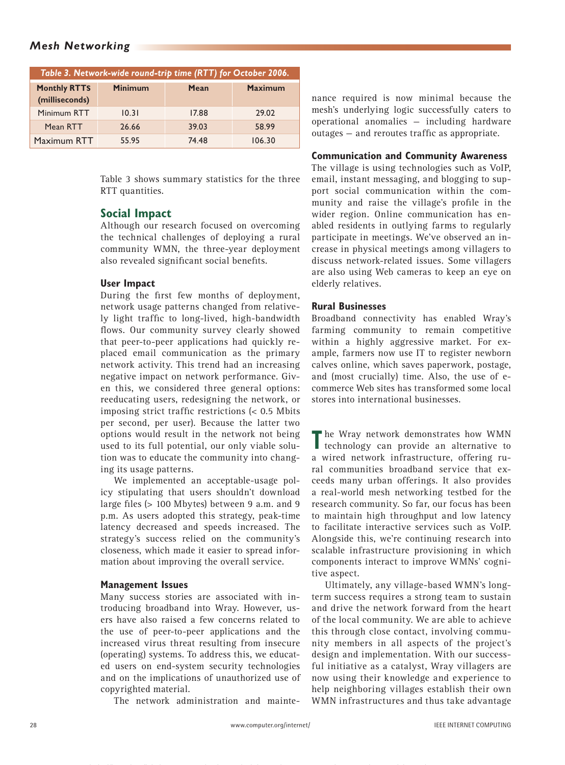## *Mesh Networking*

| Table 3. Network-wide round-trip time (RTT) for October 2006. |                |       |                |  |  |  |  |
|---------------------------------------------------------------|----------------|-------|----------------|--|--|--|--|
| <b>Monthly RTTS</b><br>(milliseconds)                         | <b>Minimum</b> | Mean  | <b>Maximum</b> |  |  |  |  |
| Minimum RTT                                                   | 10.31          | 17.88 | 29.02          |  |  |  |  |
| Mean RTT                                                      | 26.66          | 39.03 | 58.99          |  |  |  |  |
| Maximum RTT                                                   | 55.95          | 74.48 | 106.30         |  |  |  |  |

Table 3 shows summary statistics for the three RTT quantities.

## **Social Impact**

Although our research focused on overcoming the technical challenges of deploying a rural community WMN, the three-year deployment also revealed significant social benefits.

## **User Impact**

During the first few months of deployment, network usage patterns changed from relatively light traffic to long-lived, high-bandwidth flows. Our community survey clearly showed that peer-to-peer applications had quickly replaced email communication as the primary network activity. This trend had an increasing negative impact on network performance. Given this, we considered three general options: reeducating users, redesigning the network, or imposing strict traffic restrictions (< 0.5 Mbits per second, per user). Because the latter two options would result in the network not being used to its full potential, our only viable solution was to educate the community into changing its usage patterns.

We implemented an acceptable-usage policy stipulating that users shouldn't download large files (> 100 Mbytes) between 9 a.m. and 9 p.m. As users adopted this strategy, peak-time latency decreased and speeds increased. The strategy's success relied on the community's closeness, which made it easier to spread information about improving the overall service.

### **Management Issues**

Many success stories are associated with introducing broadband into Wray. However, users have also raised a few concerns related to the use of peer-to-peer applications and the increased virus threat resulting from insecure (operating) systems. To address this, we educated users on end-system security technologies and on the implications of unauthorized use of copyrighted material.

The network administration and mainte-

nance required is now minimal because the mesh's underlying logic successfully caters to operational anomalies — including hardware outages — and reroutes traffic as appropriate.

#### **Communication and Community Awareness**

The village is using technologies such as VoIP, email, instant messaging, and blogging to support social communication within the community and raise the village's profile in the wider region. Online communication has enabled residents in outlying farms to regularly participate in meetings. We've observed an increase in physical meetings among villagers to discuss network-related issues. Some villagers are also using Web cameras to keep an eye on elderly relatives.

### **Rural Businesses**

Broadband connectivity has enabled Wray's farming community to remain competitive within a highly aggressive market. For example, farmers now use IT to register newborn calves online, which saves paperwork, postage, and (most crucially) time. Also, the use of ecommerce Web sites has transformed some local stores into international businesses.

The Wray network demonstrates how WMN technology can provide an alternative to a wired network infrastructure, offering rural communities broadband service that exceeds many urban offerings. It also provides a real-world mesh networking testbed for the research community. So far, our focus has been to maintain high throughput and low latency to facilitate interactive services such as VoIP. Alongside this, we're continuing research into scalable infrastructure provisioning in which components interact to improve WMNs' cognitive aspect.

Ultimately, any village-based WMN's longterm success requires a strong team to sustain and drive the network forward from the heart of the local community. We are able to achieve this through close contact, involving community members in all aspects of the project's design and implementation. With our successful initiative as a catalyst, Wray villagers are now using their knowledge and experience to help neighboring villages establish their own WMN infrastructures and thus take advantage